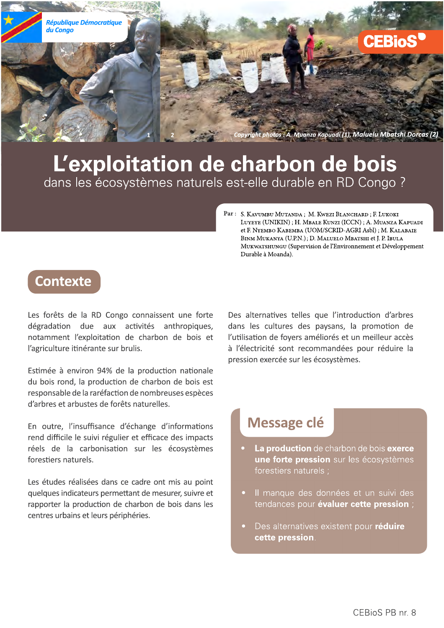

# L'exploitation de charbon de bois systemes naturels est-elle durable en RD Congo ?

Par : S. Kavumbu Mutanda ; M. Kwezi Blanchard ; F. Lukoki<br>Luyeye (UNIKIN) ; H. Mbale Kunzi (ICCN) ; A. Muanza Ka<br>et F. Nyembo Kabemba (UOM/SCRID-AGRI Asbl) ; M. Kala<br>Binm Mukanya (U.P.N.) ; D. Maluelo Mbatshi et J. P. Ibul LUYEYE (UNIKIN); H. MBALE KUNZI (ICCN); A. MUANZA KAPUADI et F. NYEMBO KABEMBA (UOM/SCRID-AGRI Asbl) ; М. Каlаваiе BINM MUKANYA (U.P.N.); D. MALUELO MBATSHI et J. P. IBULA MUKWATSHUNGU (Supervision de l'Environnement et Développement<br>Durable à Moanda).

### **Contexte**

**Contexte**<br>
Les forêts de la RD Congo connaissent une forte<br>
dégradation due aux activités anthropiques,<br>
notamment l'exploitation de charbon de bois et<br>
l'agriculture itinérante sur brulis.<br>
Estimée à environ 94% de la pr

En outre, l'insuffisance d'échange d'informations rend difficile le suivi régulier et efficace des impacts réels de la carbonisation sur les écosystèmes forestiers naturels.

Les études réalisées dans ce cadre ont mis au point guelques indicateurs permettant de mesurer, suivre et rapporter la production de charbon de bois dans les centres urbains et leurs périphéries.

Des alternatives telles que l'introduction d'arbres dans les cultures des paysans, la promotion de l'utilisation de foyers améliorés et un meilleur accès à l'électricité sont recommandées pour réduire la pression exercée sur les écosystèmes.

## Message clé

- $\bullet$   $\;$  La production de charbon de bois exerce  $\;$ **une forte pression** sur les ecosystemes torestiers naturels ;
- $\bullet$  Il manque des donnees et un suivi des tendances pour **evaluer cette pression** ;
- Des alternatives existent pour **reduire** cette pression.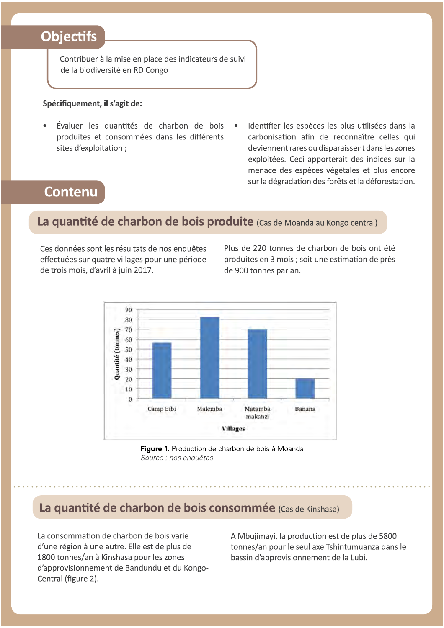### **Objectifs**

Contribuer à la mise en place des indicateurs de suivi de la biodiversité en RD Congo

#### Spécifiquement, il s'agit de:

- Évaluer les quantités de charbon de bois produites et consommées dans les différents sites d'exploitation ;
- Identifier les espèces les plus utilisées dans la carbonisation afin de reconnaître celles qui deviennent rares ou disparaissent dans les zones exploitées. Ceci apporterait des indices sur la menace des espèces végétales et plus encore sur la dégradation des forêts et la déforestation.

### **Contenu**

#### La quantité de charbon de bois produite (Cas de Moanda au Kongo central)

Ces données sont les résultats de nos enquêtes effectuées sur quatre villages pour une période de trois mois, d'avril à juin 2017.

Plus de 220 tonnes de charbon de bois ont été produites en 3 mois : soit une estimation de près de 900 tonnes par an.



Figure 1. Production de charbon de bois à Moanda. Source : nos enquêtes

### La quantité de charbon de bois consommée (Cas de Kinshasa)

La consommation de charbon de bois varie d'une région à une autre. Elle est de plus de 1800 tonnes/an à Kinshasa pour les zones d'approvisionnement de Bandundu et du Kongo-Central (figure 2).

A Mbujimayi, la production est de plus de 5800 tonnes/an pour le seul axe Tshintumuanza dans le bassin d'approvisionnement de la Lubi.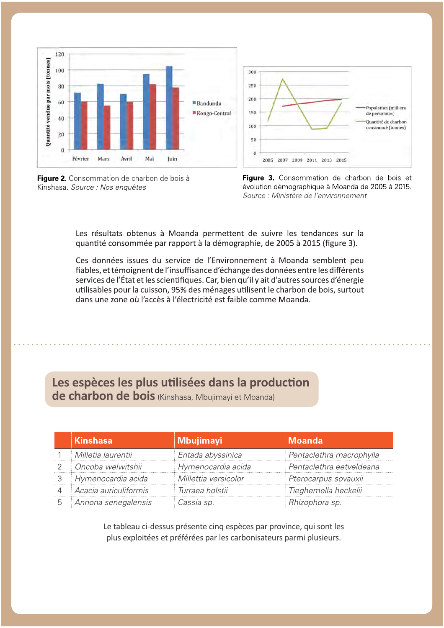

Figure 2. Consommation de charbon de bois à Kinshasa. Source : Nos enquêtes



Les résultats obtenus à Moanda permettent de suivre les tendances sur la quantité consommée par rapport à la démographie, de 2005 à 2015 (figure 3).

Ces données issues du service de l'Environnement à Moanda semblent peu fiables, et témoignent de l'insuffisance d'échange des données entre les différents services de l'État et les scientifiques. Car, bien qu'il y ait d'autres sources d'énergie utilisables pour la cuisson, 95% des ménages utilisent le charbon de bois, surtout dans une zone où l'accès à l'électricité est faible comme Moanda.

#### Les espèces les plus utilisées dans la production de charbon de bois (Kinshasa, Mbujimayi et Moanda)

| <b>Kinshasa</b>       | <b>Mbujimayi</b>     | <b>Moanda</b>            |
|-----------------------|----------------------|--------------------------|
| Milletia laurentii    | Entada abyssinica    | Pentaclethra macrophylla |
| ©ncoba welwitshii     | Hymenocardia acida   | Pentaclethra eetveldeana |
| 3 Hymenocardia acida  | Millettia versicolor | Pterocarpus sovauxii     |
| Acacia auriculiformis | Turraea holstii      | Tieghemella heckelii     |
| Annona senegalensis   | Cassia sp.           | Rhizophora sp.           |

Le tableau ci-dessus présente cinq espèces par province, qui sont les plus exploitées et préférées par les carbonisateurs parmi plusieurs.